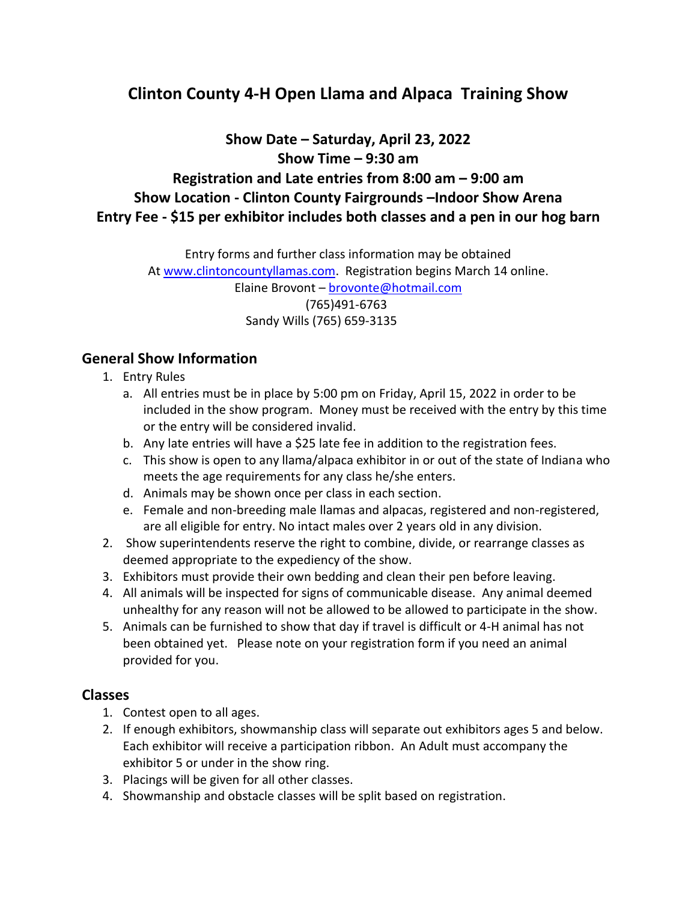## **Clinton County 4-H Open Llama and Alpaca Training Show**

**Show Date – Saturday, April 23, 2022 Show Time – 9:30 am Registration and Late entries from 8:00 am – 9:00 am Show Location - Clinton County Fairgrounds –Indoor Show Arena Entry Fee - \$15 per exhibitor includes both classes and a pen in our hog barn**

> Entry forms and further class information may be obtained At [www.clintoncountyllamas.com.](http://www.clintoncountyllamas.com/) Registration begins March 14 online. Elaine Brovont – [brovonte@hotmail.com](mailto:brovonte@hotmail.com) (765)491-6763 Sandy Wills (765) 659-3135

## **General Show Information**

- 1. Entry Rules
	- a. All entries must be in place by 5:00 pm on Friday, April 15, 2022 in order to be included in the show program. Money must be received with the entry by this time or the entry will be considered invalid.
	- b. Any late entries will have a \$25 late fee in addition to the registration fees.
	- c. This show is open to any llama/alpaca exhibitor in or out of the state of Indiana who meets the age requirements for any class he/she enters.
	- d. Animals may be shown once per class in each section.
	- e. Female and non-breeding male llamas and alpacas, registered and non-registered, are all eligible for entry. No intact males over 2 years old in any division.
- 2. Show superintendents reserve the right to combine, divide, or rearrange classes as deemed appropriate to the expediency of the show.
- 3. Exhibitors must provide their own bedding and clean their pen before leaving.
- 4. All animals will be inspected for signs of communicable disease. Any animal deemed unhealthy for any reason will not be allowed to be allowed to participate in the show.
- 5. Animals can be furnished to show that day if travel is difficult or 4-H animal has not been obtained yet. Please note on your registration form if you need an animal provided for you.

## **Classes**

- 1. Contest open to all ages.
- 2. If enough exhibitors, showmanship class will separate out exhibitors ages 5 and below. Each exhibitor will receive a participation ribbon. An Adult must accompany the exhibitor 5 or under in the show ring.
- 3. Placings will be given for all other classes.
- 4. Showmanship and obstacle classes will be split based on registration.